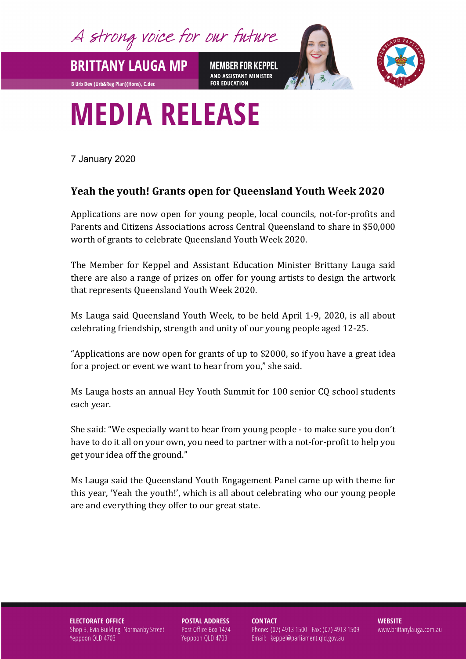A strong voice for our future

**MEMBER FOR KEPPEL** AND ASSISTANT MINISTER **FOR EDUCATION** 



## **MEDIA RELEASE**

7 January 2020

**BRITTANY LAUGA MP** 

**B Urb Dev (Urb&Reg Plan)(Hons), C.dec** 

## **Yeah the youth! Grants open for Queensland Youth Week 2020**

Applications are now open for young people, local councils, not-for-profits and Parents and Citizens Associations across Central Queensland to share in \$50,000 worth of grants to celebrate Queensland Youth Week 2020.

The Member for Keppel and Assistant Education Minister Brittany Lauga said there are also a range of prizes on offer for young artists to design the artwork that represents Queensland Youth Week 2020.

Ms Lauga said Queensland Youth Week, to be held April 1-9, 2020, is all about celebrating friendship, strength and unity of our young people aged 12-25.

"Applications are now open for grants of up to \$2000, so if you have a great idea for a project or event we want to hear from you," she said.

Ms Lauga hosts an annual Hey Youth Summit for 100 senior CQ school students each year.

She said: "We especially want to hear from young people - to make sure you don't have to do it all on your own, you need to partner with a not-for-profit to help you get your idea off the ground."

Ms Lauga said the Queensland Youth Engagement Panel came up with theme for this year, 'Yeah the youth!', which is all about celebrating who our young people are and everything they offer to our great state.

**ELECTORATE OFFICE** Shop 3, Evia Building Normanby Street Yeppoon QLD 4703

**POSTAL ADDRESS** Post Office Box 1474 Yeppoon QLD 4703

**CONTACT** 

Phone: (07) 4913 1500 Fax: (07) 4913 1509 Email: keppel@parliament.qld.gov.au

**WEBSITE** www.brittanylauga.com.au